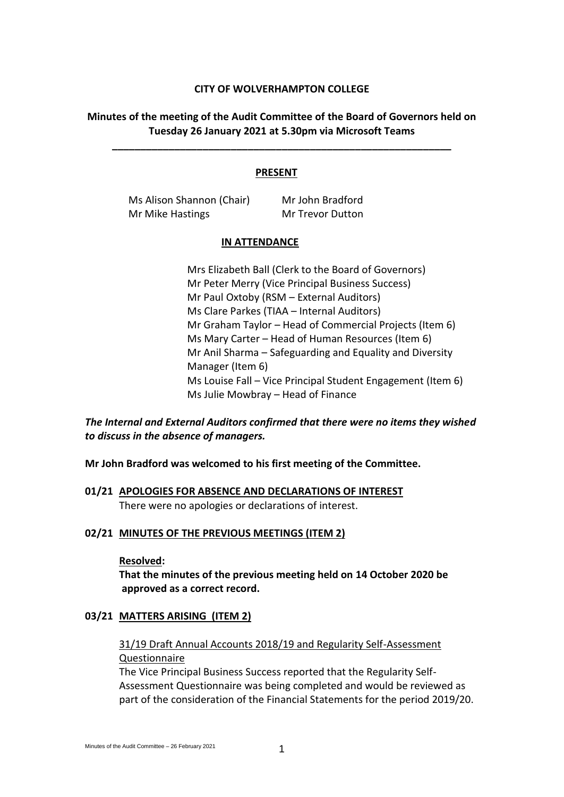## **CITY OF WOLVERHAMPTON COLLEGE**

# **Minutes of the meeting of the Audit Committee of the Board of Governors held on Tuesday 26 January 2021 at 5.30pm via Microsoft Teams**

**\_\_\_\_\_\_\_\_\_\_\_\_\_\_\_\_\_\_\_\_\_\_\_\_\_\_\_\_\_\_\_\_\_\_\_\_\_\_\_\_\_\_\_\_\_\_\_\_\_\_\_\_\_\_\_\_\_\_\_\_**

## **PRESENT**

Ms Alison Shannon (Chair) Mr John Bradford Mr Mike Hastings Mr Trevor Dutton

#### **IN ATTENDANCE**

Mrs Elizabeth Ball (Clerk to the Board of Governors) Mr Peter Merry (Vice Principal Business Success) Mr Paul Oxtoby (RSM – External Auditors) Ms Clare Parkes (TIAA – Internal Auditors) Mr Graham Taylor – Head of Commercial Projects (Item 6) Ms Mary Carter – Head of Human Resources (Item 6) Mr Anil Sharma – Safeguarding and Equality and Diversity Manager (Item 6) Ms Louise Fall – Vice Principal Student Engagement (Item 6) Ms Julie Mowbray – Head of Finance

*The Internal and External Auditors confirmed that there were no items they wished to discuss in the absence of managers.*

## **Mr John Bradford was welcomed to his first meeting of the Committee.**

**01/21 APOLOGIES FOR ABSENCE AND DECLARATIONS OF INTEREST** There were no apologies or declarations of interest.

## **02/21 MINUTES OF THE PREVIOUS MEETINGS (ITEM 2)**

## **Resolved:**

**That the minutes of the previous meeting held on 14 October 2020 be approved as a correct record.**

## **03/21 MATTERS ARISING (ITEM 2)**

# 31/19 Draft Annual Accounts 2018/19 and Regularity Self-Assessment Questionnaire

The Vice Principal Business Success reported that the Regularity Self-Assessment Questionnaire was being completed and would be reviewed as part of the consideration of the Financial Statements for the period 2019/20.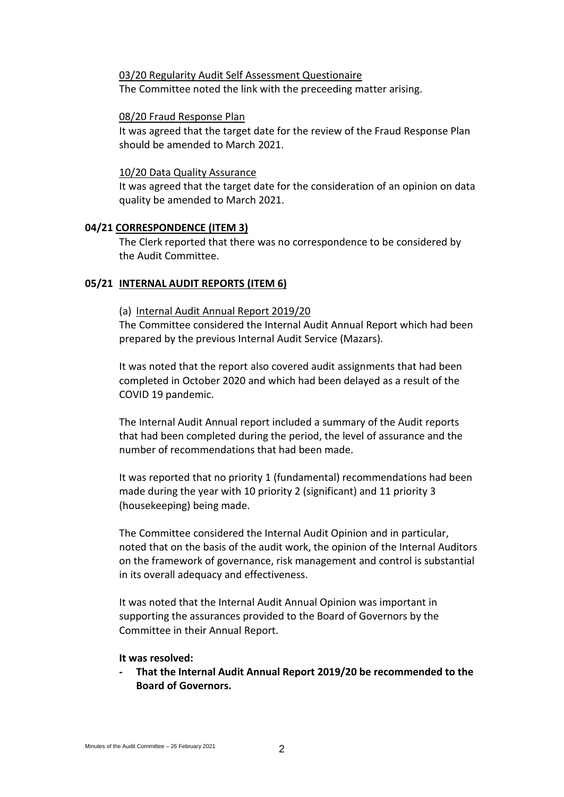## 03/20 Regularity Audit Self Assessment Questionaire

The Committee noted the link with the preceeding matter arising.

## 08/20 Fraud Response Plan

It was agreed that the target date for the review of the Fraud Response Plan should be amended to March 2021.

## 10/20 Data Quality Assurance

It was agreed that the target date for the consideration of an opinion on data quality be amended to March 2021.

## **04/21 CORRESPONDENCE (ITEM 3)**

The Clerk reported that there was no correspondence to be considered by the Audit Committee.

## **05/21 INTERNAL AUDIT REPORTS (ITEM 6)**

## (a) Internal Audit Annual Report 2019/20

The Committee considered the Internal Audit Annual Report which had been prepared by the previous Internal Audit Service (Mazars).

It was noted that the report also covered audit assignments that had been completed in October 2020 and which had been delayed as a result of the COVID 19 pandemic.

The Internal Audit Annual report included a summary of the Audit reports that had been completed during the period, the level of assurance and the number of recommendations that had been made.

It was reported that no priority 1 (fundamental) recommendations had been made during the year with 10 priority 2 (significant) and 11 priority 3 (housekeeping) being made.

The Committee considered the Internal Audit Opinion and in particular, noted that on the basis of the audit work, the opinion of the Internal Auditors on the framework of governance, risk management and control is substantial in its overall adequacy and effectiveness.

It was noted that the Internal Audit Annual Opinion was important in supporting the assurances provided to the Board of Governors by the Committee in their Annual Report.

## **It was resolved:**

**- That the Internal Audit Annual Report 2019/20 be recommended to the Board of Governors.**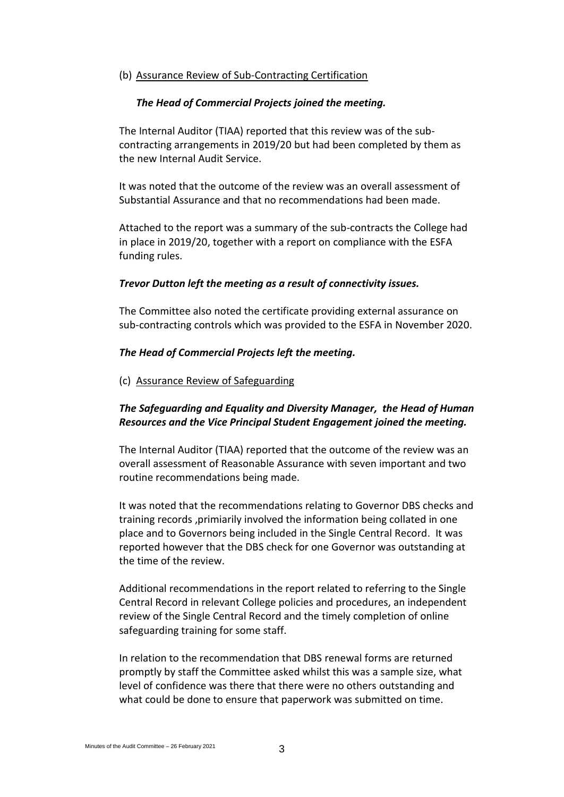## (b) Assurance Review of Sub-Contracting Certification

## *The Head of Commercial Projects joined the meeting.*

The Internal Auditor (TIAA) reported that this review was of the subcontracting arrangements in 2019/20 but had been completed by them as the new Internal Audit Service.

It was noted that the outcome of the review was an overall assessment of Substantial Assurance and that no recommendations had been made.

Attached to the report was a summary of the sub-contracts the College had in place in 2019/20, together with a report on compliance with the ESFA funding rules.

## *Trevor Dutton left the meeting as a result of connectivity issues.*

The Committee also noted the certificate providing external assurance on sub-contracting controls which was provided to the ESFA in November 2020.

#### *The Head of Commercial Projects left the meeting.*

## (c) Assurance Review of Safeguarding

# *The Safeguarding and Equality and Diversity Manager, the Head of Human Resources and the Vice Principal Student Engagement joined the meeting.*

The Internal Auditor (TIAA) reported that the outcome of the review was an overall assessment of Reasonable Assurance with seven important and two routine recommendations being made.

It was noted that the recommendations relating to Governor DBS checks and training records ,primiarily involved the information being collated in one place and to Governors being included in the Single Central Record. It was reported however that the DBS check for one Governor was outstanding at the time of the review.

Additional recommendations in the report related to referring to the Single Central Record in relevant College policies and procedures, an independent review of the Single Central Record and the timely completion of online safeguarding training for some staff.

In relation to the recommendation that DBS renewal forms are returned promptly by staff the Committee asked whilst this was a sample size, what level of confidence was there that there were no others outstanding and what could be done to ensure that paperwork was submitted on time.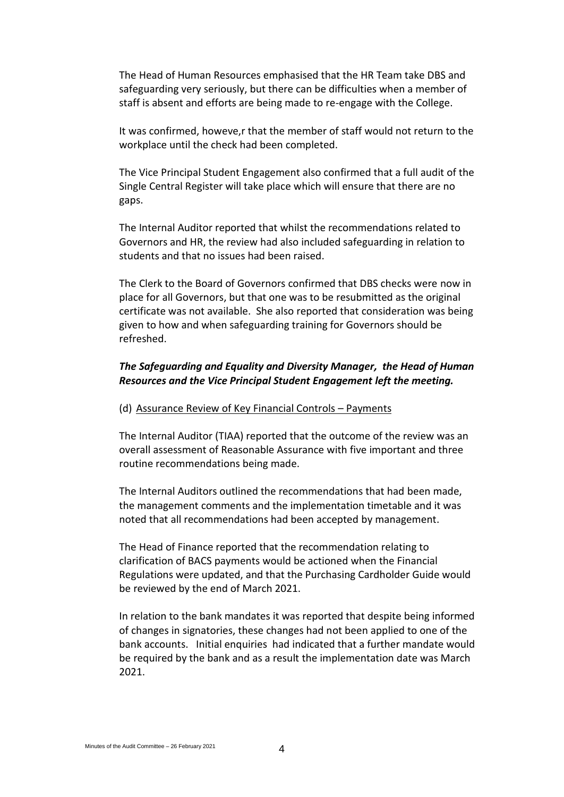The Head of Human Resources emphasised that the HR Team take DBS and safeguarding very seriously, but there can be difficulties when a member of staff is absent and efforts are being made to re-engage with the College.

It was confirmed, howeve,r that the member of staff would not return to the workplace until the check had been completed.

The Vice Principal Student Engagement also confirmed that a full audit of the Single Central Register will take place which will ensure that there are no gaps.

The Internal Auditor reported that whilst the recommendations related to Governors and HR, the review had also included safeguarding in relation to students and that no issues had been raised.

The Clerk to the Board of Governors confirmed that DBS checks were now in place for all Governors, but that one was to be resubmitted as the original certificate was not available. She also reported that consideration was being given to how and when safeguarding training for Governors should be refreshed.

# *The Safeguarding and Equality and Diversity Manager, the Head of Human Resources and the Vice Principal Student Engagement left the meeting.*

#### (d) Assurance Review of Key Financial Controls – Payments

The Internal Auditor (TIAA) reported that the outcome of the review was an overall assessment of Reasonable Assurance with five important and three routine recommendations being made.

The Internal Auditors outlined the recommendations that had been made, the management comments and the implementation timetable and it was noted that all recommendations had been accepted by management.

The Head of Finance reported that the recommendation relating to clarification of BACS payments would be actioned when the Financial Regulations were updated, and that the Purchasing Cardholder Guide would be reviewed by the end of March 2021.

In relation to the bank mandates it was reported that despite being informed of changes in signatories, these changes had not been applied to one of the bank accounts. Initial enquiries had indicated that a further mandate would be required by the bank and as a result the implementation date was March 2021.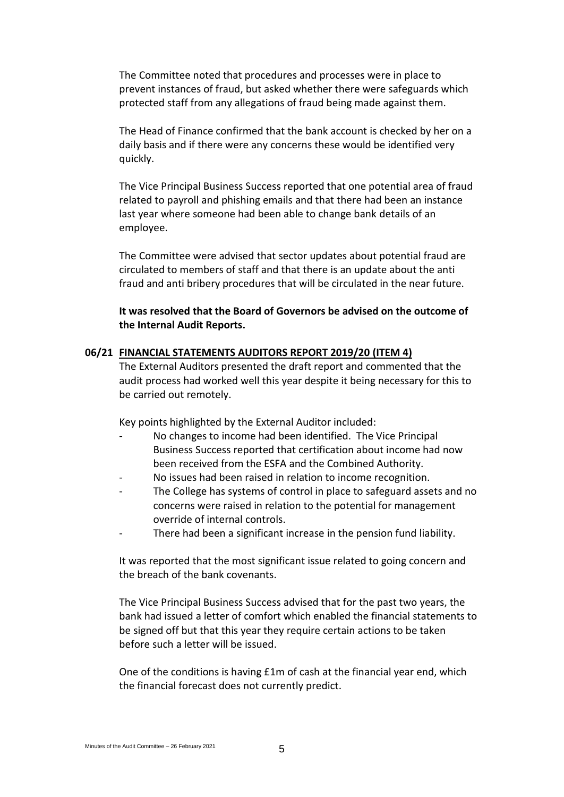The Committee noted that procedures and processes were in place to prevent instances of fraud, but asked whether there were safeguards which protected staff from any allegations of fraud being made against them.

The Head of Finance confirmed that the bank account is checked by her on a daily basis and if there were any concerns these would be identified very quickly.

The Vice Principal Business Success reported that one potential area of fraud related to payroll and phishing emails and that there had been an instance last year where someone had been able to change bank details of an employee.

The Committee were advised that sector updates about potential fraud are circulated to members of staff and that there is an update about the anti fraud and anti bribery procedures that will be circulated in the near future.

**It was resolved that the Board of Governors be advised on the outcome of the Internal Audit Reports.**

## **06/21 FINANCIAL STATEMENTS AUDITORS REPORT 2019/20 (ITEM 4)**

The External Auditors presented the draft report and commented that the audit process had worked well this year despite it being necessary for this to be carried out remotely.

Key points highlighted by the External Auditor included:

- No changes to income had been identified. The Vice Principal Business Success reported that certification about income had now been received from the ESFA and the Combined Authority.
- No issues had been raised in relation to income recognition.
- The College has systems of control in place to safeguard assets and no concerns were raised in relation to the potential for management override of internal controls.
- There had been a significant increase in the pension fund liability.

It was reported that the most significant issue related to going concern and the breach of the bank covenants.

The Vice Principal Business Success advised that for the past two years, the bank had issued a letter of comfort which enabled the financial statements to be signed off but that this year they require certain actions to be taken before such a letter will be issued.

One of the conditions is having £1m of cash at the financial year end, which the financial forecast does not currently predict.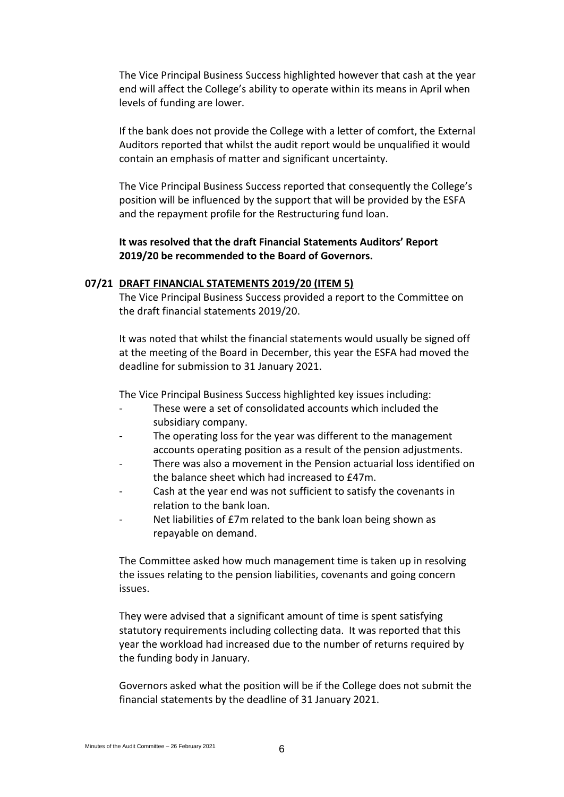The Vice Principal Business Success highlighted however that cash at the year end will affect the College's ability to operate within its means in April when levels of funding are lower.

If the bank does not provide the College with a letter of comfort, the External Auditors reported that whilst the audit report would be unqualified it would contain an emphasis of matter and significant uncertainty.

The Vice Principal Business Success reported that consequently the College's position will be influenced by the support that will be provided by the ESFA and the repayment profile for the Restructuring fund loan.

## **It was resolved that the draft Financial Statements Auditors' Report 2019/20 be recommended to the Board of Governors.**

## **07/21 DRAFT FINANCIAL STATEMENTS 2019/20 (ITEM 5)**

The Vice Principal Business Success provided a report to the Committee on the draft financial statements 2019/20.

It was noted that whilst the financial statements would usually be signed off at the meeting of the Board in December, this year the ESFA had moved the deadline for submission to 31 January 2021.

The Vice Principal Business Success highlighted key issues including:

- These were a set of consolidated accounts which included the subsidiary company.
- The operating loss for the year was different to the management accounts operating position as a result of the pension adjustments.
- There was also a movement in the Pension actuarial loss identified on the balance sheet which had increased to £47m.
- Cash at the year end was not sufficient to satisfy the covenants in relation to the bank loan.
- Net liabilities of £7m related to the bank loan being shown as repayable on demand.

The Committee asked how much management time is taken up in resolving the issues relating to the pension liabilities, covenants and going concern issues.

They were advised that a significant amount of time is spent satisfying statutory requirements including collecting data. It was reported that this year the workload had increased due to the number of returns required by the funding body in January.

Governors asked what the position will be if the College does not submit the financial statements by the deadline of 31 January 2021.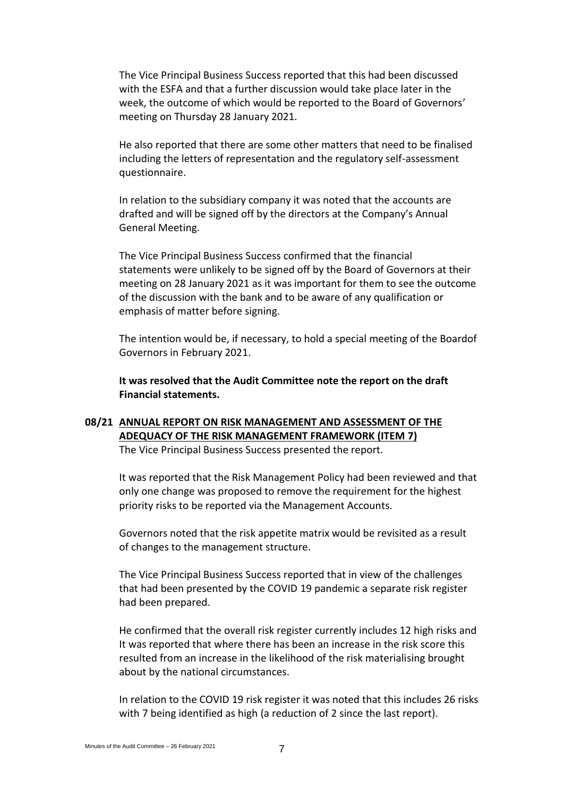The Vice Principal Business Success reported that this had been discussed with the ESFA and that a further discussion would take place later in the week, the outcome of which would be reported to the Board of Governors' meeting on Thursday 28 January 2021.

He also reported that there are some other matters that need to be finalised including the letters of representation and the regulatory self-assessment questionnaire.

In relation to the subsidiary company it was noted that the accounts are drafted and will be signed off by the directors at the Company's Annual General Meeting.

The Vice Principal Business Success confirmed that the financial statements were unlikely to be signed off by the Board of Governors at their meeting on 28 January 2021 as it was important for them to see the outcome of the discussion with the bank and to be aware of any qualification or emphasis of matter before signing.

The intention would be, if necessary, to hold a special meeting of the Boardof Governors in February 2021.

**It was resolved that the Audit Committee note the report on the draft Financial statements.**

# **08/21 ANNUAL REPORT ON RISK MANAGEMENT AND ASSESSMENT OF THE ADEQUACY OF THE RISK MANAGEMENT FRAMEWORK (ITEM 7)**

The Vice Principal Business Success presented the report.

It was reported that the Risk Management Policy had been reviewed and that only one change was proposed to remove the requirement for the highest priority risks to be reported via the Management Accounts.

Governors noted that the risk appetite matrix would be revisited as a result of changes to the management structure.

The Vice Principal Business Success reported that in view of the challenges that had been presented by the COVID 19 pandemic a separate risk register had been prepared.

He confirmed that the overall risk register currently includes 12 high risks and It was reported that where there has been an increase in the risk score this resulted from an increase in the likelihood of the risk materialising brought about by the national circumstances.

In relation to the COVID 19 risk register it was noted that this includes 26 risks with 7 being identified as high (a reduction of 2 since the last report).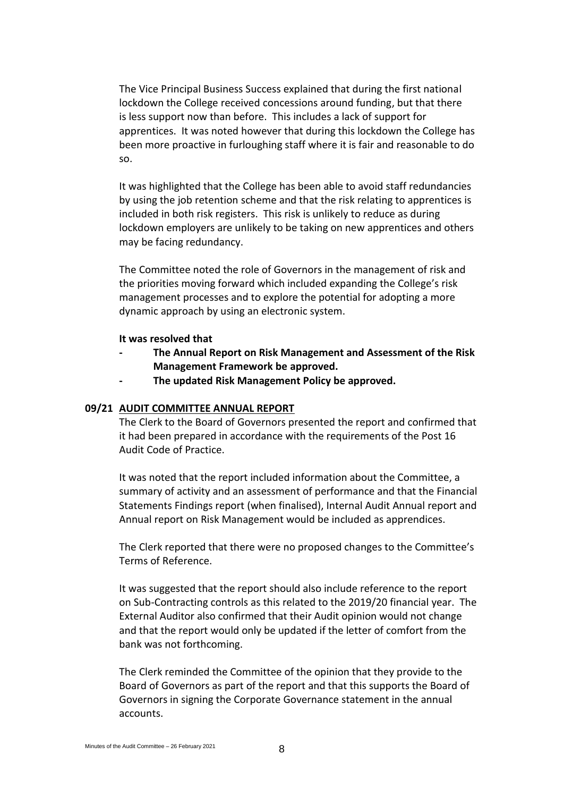The Vice Principal Business Success explained that during the first national lockdown the College received concessions around funding, but that there is less support now than before. This includes a lack of support for apprentices. It was noted however that during this lockdown the College has been more proactive in furloughing staff where it is fair and reasonable to do so.

It was highlighted that the College has been able to avoid staff redundancies by using the job retention scheme and that the risk relating to apprentices is included in both risk registers. This risk is unlikely to reduce as during lockdown employers are unlikely to be taking on new apprentices and others may be facing redundancy.

The Committee noted the role of Governors in the management of risk and the priorities moving forward which included expanding the College's risk management processes and to explore the potential for adopting a more dynamic approach by using an electronic system.

#### **It was resolved that**

- **- The Annual Report on Risk Management and Assessment of the Risk Management Framework be approved.**
- **- The updated Risk Management Policy be approved.**

#### **09/21 AUDIT COMMITTEE ANNUAL REPORT**

The Clerk to the Board of Governors presented the report and confirmed that it had been prepared in accordance with the requirements of the Post 16 Audit Code of Practice.

It was noted that the report included information about the Committee, a summary of activity and an assessment of performance and that the Financial Statements Findings report (when finalised), Internal Audit Annual report and Annual report on Risk Management would be included as apprendices.

The Clerk reported that there were no proposed changes to the Committee's Terms of Reference.

It was suggested that the report should also include reference to the report on Sub-Contracting controls as this related to the 2019/20 financial year. The External Auditor also confirmed that their Audit opinion would not change and that the report would only be updated if the letter of comfort from the bank was not forthcoming.

The Clerk reminded the Committee of the opinion that they provide to the Board of Governors as part of the report and that this supports the Board of Governors in signing the Corporate Governance statement in the annual accounts.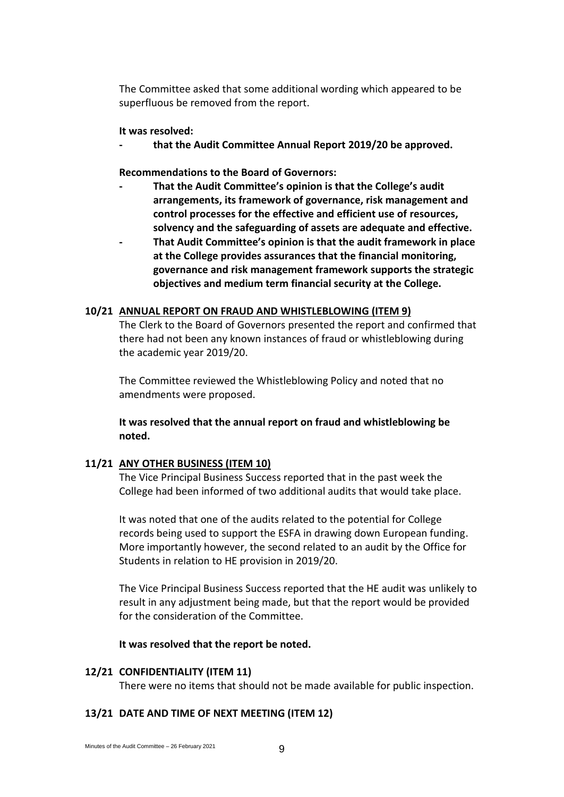The Committee asked that some additional wording which appeared to be superfluous be removed from the report.

## **It was resolved:**

**- that the Audit Committee Annual Report 2019/20 be approved.**

**Recommendations to the Board of Governors:**

- **- That the Audit Committee's opinion is that the College's audit arrangements, its framework of governance, risk management and control processes for the effective and efficient use of resources, solvency and the safeguarding of assets are adequate and effective.**
- **- That Audit Committee's opinion is that the audit framework in place at the College provides assurances that the financial monitoring, governance and risk management framework supports the strategic objectives and medium term financial security at the College.**

## **10/21 ANNUAL REPORT ON FRAUD AND WHISTLEBLOWING (ITEM 9)**

The Clerk to the Board of Governors presented the report and confirmed that there had not been any known instances of fraud or whistleblowing during the academic year 2019/20.

The Committee reviewed the Whistleblowing Policy and noted that no amendments were proposed.

**It was resolved that the annual report on fraud and whistleblowing be noted.**

## **11/21 ANY OTHER BUSINESS (ITEM 10)**

The Vice Principal Business Success reported that in the past week the College had been informed of two additional audits that would take place.

It was noted that one of the audits related to the potential for College records being used to support the ESFA in drawing down European funding. More importantly however, the second related to an audit by the Office for Students in relation to HE provision in 2019/20.

The Vice Principal Business Success reported that the HE audit was unlikely to result in any adjustment being made, but that the report would be provided for the consideration of the Committee.

**It was resolved that the report be noted.**

## **12/21 CONFIDENTIALITY (ITEM 11)**

There were no items that should not be made available for public inspection.

## **13/21 DATE AND TIME OF NEXT MEETING (ITEM 12)**